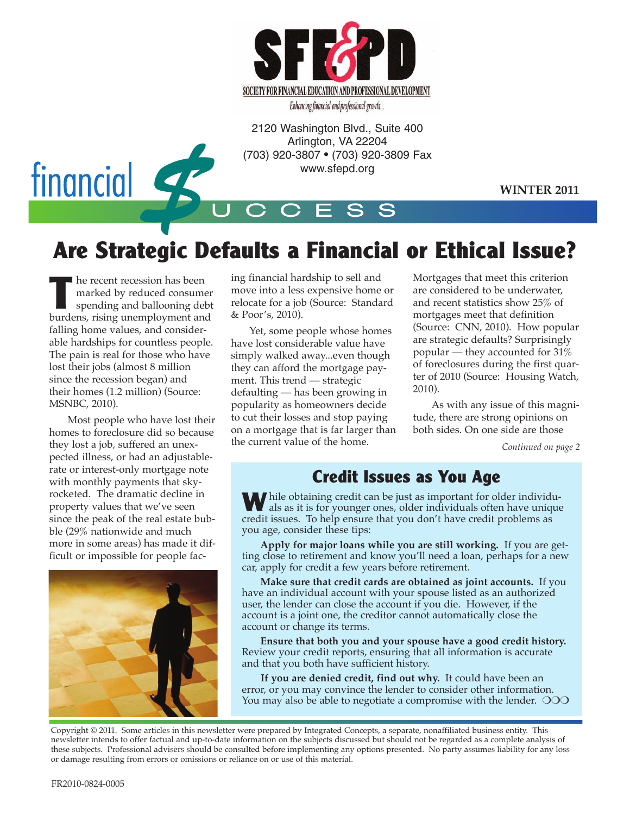

2120 Washington Blvd., Suite 400 Arlington, VA 22204 (703) 920-3807 • (703) 920-3809 Fax www.sfepd.org

**WINTER 2011**



# **Are Strategic Defaults a Financial or Ethical Issue?**

U C C E S S

**T** he recent recession has been<br>marked by reduced consumer<br>spending and ballooning debt marked by reduced consumer burdens, rising unemployment and falling home values, and considerable hardships for countless people. The pain is real for those who have lost their jobs (almost 8 million since the recession began) and their homes (1.2 million) (Source: MSNBC, 2010).

Most people who have lost their homes to foreclosure did so because they lost a job, suffered an unexpected illness, or had an adjustablerate or interest-only mortgage note with monthly payments that skyrocketed. The dramatic decline in property values that we've seen since the peak of the real estate bubble (29% nationwide and much more in some areas) has made it difficult or impossible for people fac-



ing financial hardship to sell and move into a less expensive home or relocate for a job (Source: Standard & Poor's, 2010).

Yet, some people whose homes have lost considerable value have simply walked away...even though they can afford the mortgage payment. This trend — strategic defaulting — has been growing in popularity as homeowners decide to cut their losses and stop paying on a mortgage that is far larger than the current value of the home.

Mortgages that meet this criterion are considered to be underwater, and recent statistics show 25% of mortgages meet that definition (Source: CNN, 2010). How popular are strategic defaults? Surprisingly popular — they accounted for  $31\%$ of foreclosures during the first quarter of 2010 (Source: Housing Watch, 2010).

As with any issue of this magnitude, there are strong opinions on both sides. On one side are those

*Continued on page 2*

#### **Credit Issues as You Age**

**W**hile obtaining credit can be just as important for older individuals as it is for younger ones, older individuals often have unique credit issues. To help ensure that you don't have credit problems as you age, consider these tips:

**Apply for major loans while you are still working.** If you are getting close to retirement and know you'll need a loan, perhaps for a new car, apply for credit a few years before retirement.

**Make sure that credit cards are obtained as joint accounts.** If you have an individual account with your spouse listed as an authorized user, the lender can close the account if you die. However, if the account is a joint one, the creditor cannot automatically close the account or change its terms.

**Ensure that both you and your spouse have a good credit history.** Review your credit reports, ensuring that all information is accurate and that you both have sufficient history.

**If you are denied credit, find out why.** It could have been an error, or you may convince the lender to consider other information. You may also be able to negotiate a compromise with the lender. OOO

Copyright © 2011. Some articles in this newsletter were prepared by Integrated Concepts, a separate, nonaffiliated business entity. This newsletter intends to offer factual and up-to-date information on the subjects discussed but should not be regarded as a complete analysis of these subjects. Professional advisers should be consulted before implementing any options presented. No party assumes liability for any loss or damage resulting from errors or omissions or reliance on or use of this material.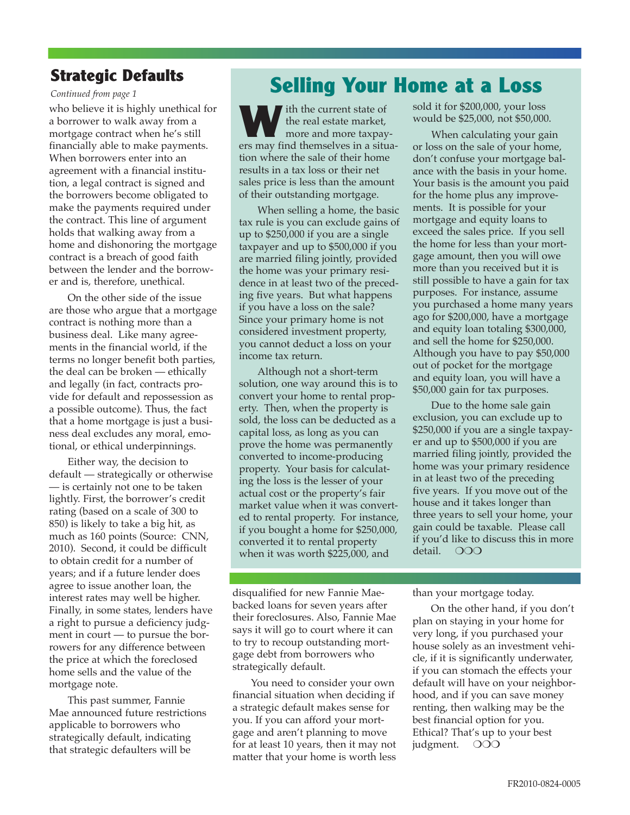#### **Strategic Defaults**

#### *Continued from page 1*

who believe it is highly unethical for a borrower to walk away from a mortgage contract when he's still financially able to make payments. When borrowers enter into an agreement with a financial institution, a legal contract is signed and the borrowers become obligated to make the payments required under the contract. This line of argument holds that walking away from a home and dishonoring the mortgage contract is a breach of good faith between the lender and the borrower and is, therefore, unethical.

On the other side of the issue are those who argue that a mortgage contract is nothing more than a business deal. Like many agreements in the financial world, if the terms no longer benefit both parties, the deal can be broken — ethically and legally (in fact, contracts provide for default and repossession as a possible outcome). Thus, the fact that a home mortgage is just a business deal excludes any moral, emotional, or ethical underpinnings.

Either way, the decision to default — strategically or otherwise — is certainly not one to be taken lightly. First, the borrower's credit rating (based on a scale of 300 to 850) is likely to take a big hit, as much as 160 points (Source: CNN, 2010). Second, it could be difficult to obtain credit for a number of years; and if a future lender does agree to issue another loan, the interest rates may well be higher. Finally, in some states, lenders have a right to pursue a deficiency judgment in court — to pursue the borrowers for any difference between the price at which the foreclosed home sells and the value of the mortgage note.

This past summer, Fannie Mae announced future restrictions applicable to borrowers who strategically default, indicating that strategic defaulters will be

### **Selling Your Home at a Loss**

ith the current state of the real estate market, more and more taxpayers may find themselves in a situation where the sale of their home results in a tax loss or their net sales price is less than the amount of their outstanding mortgage.

When selling a home, the basic tax rule is you can exclude gains of up to \$250,000 if you are a single taxpayer and up to \$500,000 if you are married filing jointly, provided the home was your primary residence in at least two of the preceding five years. But what happens if you have a loss on the sale? Since your primary home is not considered investment property, you cannot deduct a loss on your income tax return.

Although not a short-term solution, one way around this is to convert your home to rental property. Then, when the property is sold, the loss can be deducted as a capital loss, as long as you can prove the home was permanently converted to income-producing property. Your basis for calculating the loss is the lesser of your actual cost or the property's fair market value when it was converted to rental property. For instance, if you bought a home for \$250,000, converted it to rental property when it was worth \$225,000, and

disqualified for new Fannie Maebacked loans for seven years after their foreclosures. Also, Fannie Mae says it will go to court where it can to try to recoup outstanding mortgage debt from borrowers who strategically default.

You need to consider your own financial situation when deciding if a strategic default makes sense for you. If you can afford your mortgage and aren't planning to move for at least 10 years, then it may not matter that your home is worth less sold it for \$200,000, your loss would be \$25,000, not \$50,000.

When calculating your gain or loss on the sale of your home, don't confuse your mortgage balance with the basis in your home. Your basis is the amount you paid for the home plus any improvements. It is possible for your mortgage and equity loans to exceed the sales price. If you sell the home for less than your mortgage amount, then you will owe more than you received but it is still possible to have a gain for tax purposes. For instance, assume you purchased a home many years ago for \$200,000, have a mortgage and equity loan totaling \$300,000, and sell the home for \$250,000. Although you have to pay \$50,000 out of pocket for the mortgage and equity loan, you will have a \$50,000 gain for tax purposes.

Due to the home sale gain exclusion, you can exclude up to \$250,000 if you are a single taxpayer and up to \$500,000 if you are married filing jointly, provided the home was your primary residence in at least two of the preceding five years. If you move out of the house and it takes longer than three years to sell your home, your gain could be taxable. Please call if you'd like to discuss this in more detail. OOO

#### than your mortgage today.

On the other hand, if you don't plan on staying in your home for very long, if you purchased your house solely as an investment vehicle, if it is significantly underwater, if you can stomach the effects your default will have on your neighborhood, and if you can save money renting, then walking may be the best financial option for you. Ethical? That's up to your best judgment. OOO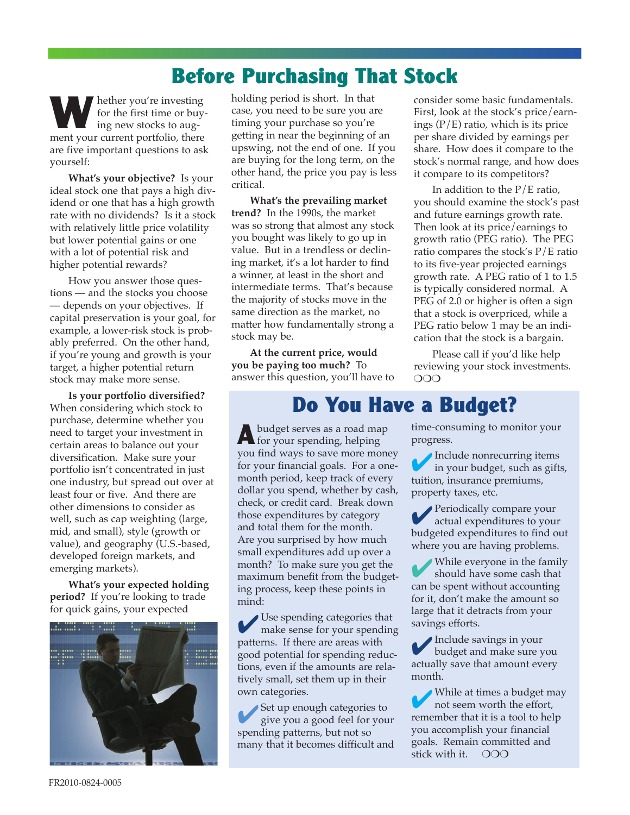#### **Before Purchasing That Stock**

**M** hether you're investing for the first time or buying new stocks to augment your current portfolio, there are five important questions to ask yourself:

**What's your objective?** Is your ideal stock one that pays a high dividend or one that has a high growth rate with no dividends? Is it a stock with relatively little price volatility but lower potential gains or one with a lot of potential risk and higher potential rewards?

How you answer those questions — and the stocks you choose — depends on your objectives. If capital preservation is your goal, for example, a lower-risk stock is probably preferred. On the other hand, if you're young and growth is your target, a higher potential return stock may make more sense.

**Is your portfolio diversified?** When considering which stock to purchase, determine whether you need to target your investment in certain areas to balance out your diversification. Make sure your portfolio isn't concentrated in just one industry, but spread out over at least four or five. And there are other dimensions to consider as well, such as cap weighting (large, mid, and small), style (growth or value), and geography (U.S.-based, developed foreign markets, and emerging markets).

**What's your expected holding period?** If you're looking to trade for quick gains, your expected



holding period is short. In that case, you need to be sure you are timing your purchase so you're getting in near the beginning of an upswing, not the end of one. If you are buying for the long term, on the other hand, the price you pay is less critical.

**What's the prevailing market trend?** In the 1990s, the market was so strong that almost any stock you bought was likely to go up in value. But in a trendless or declining market, it's a lot harder to find a winner, at least in the short and intermediate terms. That's because the majority of stocks move in the same direction as the market, no matter how fundamentally strong a stock may be.

**At the current price, would you be paying too much?** To answer this question, you'll have to consider some basic fundamentals. First, look at the stock's price/earnings  $(P/E)$  ratio, which is its price per share divided by earnings per share. How does it compare to the stock's normal range, and how does it compare to its competitors?

In addition to the P/E ratio, you should examine the stock's past and future earnings growth rate. Then look at its price/earnings to growth ratio (PEG ratio). The PEG ratio compares the stock's P/E ratio to its five-year projected earnings growth rate. A PEG ratio of 1 to 1.5 is typically considered normal. A PEG of 2.0 or higher is often a sign that a stock is overpriced, while a PEG ratio below 1 may be an indication that the stock is a bargain.

Please call if you'd like help reviewing your stock investments.  $\cap$ 

#### **Do You Have a Budget?**

A budget serves as a road map<br>for your spending, helping you find ways to save more money for your financial goals. For a onemonth period, keep track of every dollar you spend, whether by cash, check, or credit card. Break down those expenditures by category and total them for the month. Are you surprised by how much small expenditures add up over a month? To make sure you get the maximum benefit from the budgeting process, keep these points in mind:

Use spending categories that make sense for your spending patterns. If there are areas with good potential for spending reductions, even if the amounts are relatively small, set them up in their own categories.

4Set up enough categories to give you a good feel for your spending patterns, but not so many that it becomes difficult and time-consuming to monitor your progress.

4Include nonrecurring items in your budget, such as gifts, tuition, insurance premiums, property taxes, etc.

Periodically compare your actual expenditures to your budgeted expenditures to find out where you are having problems.

4While everyone in the family should have some cash that can be spent without accounting for it, don't make the amount so large that it detracts from your savings efforts.

4Include savings in your budget and make sure you actually save that amount every month.

While at times a budget may not seem worth the effort, remember that it is a tool to help you accomplish your financial goals. Remain committed and stick with it.  $\circ$  000